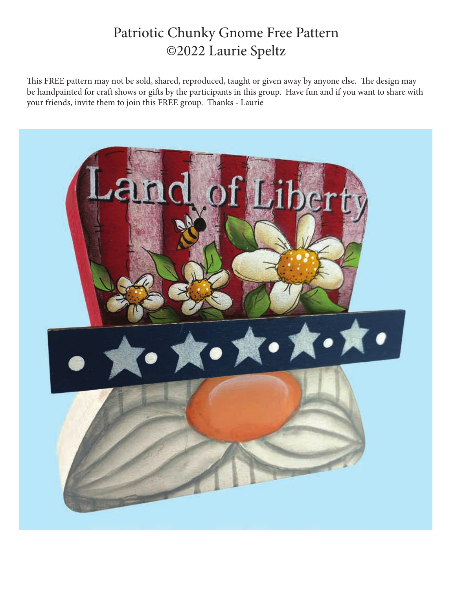## Patriotic Chunky Gnome Free Pattern ©2022 Laurie Speltz

This FREE pattern may not be sold, shared, reproduced, taught or given away by anyone else. The design may be handpainted for craft shows or gifts by the participants in this group. Have fun and if you want to share with your friends, invite them to join this FREE group. Thanks - Laurie

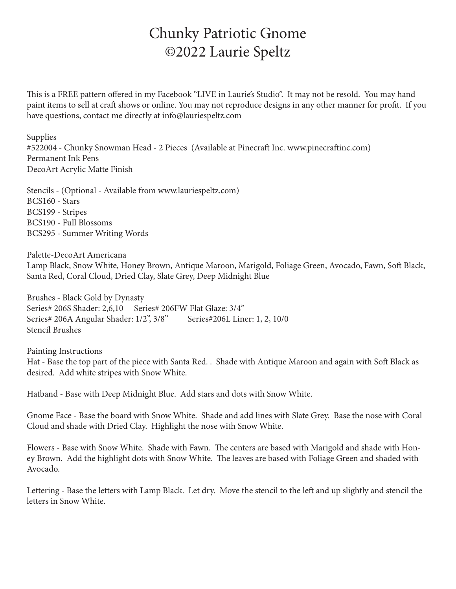## Chunky Patriotic Gnome ©2022 Laurie Speltz

This is a FREE pattern offered in my Facebook "LIVE in Laurie's Studio". It may not be resold. You may hand paint items to sell at craft shows or online. You may not reproduce designs in any other manner for profit. If you have questions, contact me directly at info@lauriespeltz.com

Supplies #522004 - Chunky Snowman Head - 2 Pieces (Available at Pinecraft Inc. www.pinecraftinc.com) Permanent Ink Pens DecoArt Acrylic Matte Finish

Stencils - (Optional - Available from www.lauriespeltz.com) BCS160 - Stars BCS199 - Stripes BCS190 - Full Blossoms BCS295 - Summer Writing Words

Palette-DecoArt Americana

Lamp Black, Snow White, Honey Brown, Antique Maroon, Marigold, Foliage Green, Avocado, Fawn, Soft Black, Santa Red, Coral Cloud, Dried Clay, Slate Grey, Deep Midnight Blue

Brushes - Black Gold by Dynasty Series# 206S Shader: 2,6,10 Series# 206FW Flat Glaze: 3/4" Series# 206A Angular Shader: 1/2", 3/8" Series#206L Liner: 1, 2, 10/0 Stencil Brushes

Painting Instructions Hat - Base the top part of the piece with Santa Red. . Shade with Antique Maroon and again with Soft Black as desired. Add white stripes with Snow White.

Hatband - Base with Deep Midnight Blue. Add stars and dots with Snow White.

Gnome Face - Base the board with Snow White. Shade and add lines with Slate Grey. Base the nose with Coral Cloud and shade with Dried Clay. Highlight the nose with Snow White.

Flowers - Base with Snow White. Shade with Fawn. The centers are based with Marigold and shade with Honey Brown. Add the highlight dots with Snow White. The leaves are based with Foliage Green and shaded with Avocado.

Lettering - Base the letters with Lamp Black. Let dry. Move the stencil to the left and up slightly and stencil the letters in Snow White.